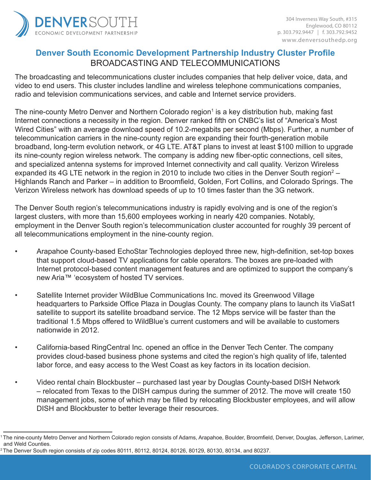

# **Denver South Economic Development Partnership Industry Cluster Profile** BROADCASTING AND TELECOMMUNICATIONS

The broadcasting and telecommunications cluster includes companies that help deliver voice, data, and video to end users. This cluster includes landline and wireless telephone communications companies, radio and television communications services, and cable and Internet service providers.

The nine-county Metro Denver and Northern Colorado region<sup>1</sup> is a key distribution hub, making fast Internet connections a necessity in the region. Denver ranked fifth on CNBC's list of "America's Most Wired Cities" with an average download speed of 10.2-megabits per second (Mbps). Further, a number of telecommunication carriers in the nine-county region are expanding their fourth-generation mobile broadband, long-term evolution network, or 4G LTE. AT&T plans to invest at least \$100 million to upgrade its nine-county region wireless network. The company is adding new fiber-optic connections, cell sites, and specialized antenna systems for improved Internet connectivity and call quality. Verizon Wireless expanded its 4G LTE network in the region in 2010 to include two cities in the Denver South region<sup>2</sup> – Highlands Ranch and Parker – in addition to Broomfield, Golden, Fort Collins, and Colorado Springs. The Verizon Wireless network has download speeds of up to 10 times faster than the 3G network.

The Denver South region's telecommunications industry is rapidly evolving and is one of the region's largest clusters, with more than 15,600 employees working in nearly 420 companies. Notably, employment in the Denver South region's telecommunication cluster accounted for roughly 39 percent of all telecommunications employment in the nine-county region.

- Arapahoe County-based EchoStar Technologies deployed three new, high-definition, set-top boxes that support cloud-based TV applications for cable operators. The boxes are pre-loaded with Internet protocol-based content management features and are optimized to support the company's new Aria™ 'ecosystem of hosted TV services.
- Satellite Internet provider WildBlue Communications Inc. moved its Greenwood Village headquarters to Parkside Office Plaza in Douglas County. The company plans to launch its ViaSat1 satellite to support its satellite broadband service. The 12 Mbps service will be faster than the traditional 1.5 Mbps offered to WildBlue's current customers and will be available to customers nationwide in 2012.
- California-based RingCentral Inc. opened an office in the Denver Tech Center. The company provides cloud-based business phone systems and cited the region's high quality of life, talented labor force, and easy access to the West Coast as key factors in its location decision.
- Video rental chain Blockbuster purchased last year by Douglas County-based DISH Network – relocated from Texas to the DISH campus during the summer of 2012. The move will create 150 management jobs, some of which may be filled by relocating Blockbuster employees, and will allow DISH and Blockbuster to better leverage their resources.

<sup>1</sup>The nine-county Metro Denver and Northern Colorado region consists of Adams, Arapahoe, Boulder, Broomfield, Denver, Douglas, Jefferson, Larimer, and Weld Counties.

<sup>2</sup> The Denver South region consists of zip codes 80111, 80112, 80124, 80126, 80129, 80130, 80134, and 80237.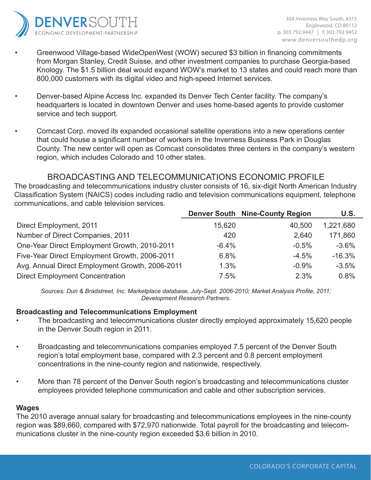

- Greenwood Village-based WideOpenWest (WOW) secured \$3 billion in financing commitments from Morgan Stanley, Credit Suisse, and other investment companies to purchase Georgia-based Knology. The \$1.5 billion deal would expand WOW's market to 13 states and could reach more than 800,000 customers with its digital video and high-speed Internet services.
- Denver-based Alpine Access Inc. expanded its Denver Tech Center facility. The company's headquarters is located in downtown Denver and uses home-based agents to provide customer service and tech support.
- Comcast Corp. moved its expanded occasional satellite operations into a new operations center that could house a significant number of workers in the Inverness Business Park in Douglas County. The new center will open as Comcast consolidates three centers in the company's western region, which includes Colorado and 10 other states.

## BROADCASTING AND TELECOMMUNICATIONS ECONOMIC PROFILE

The broadcasting and telecommunications industry cluster consists of 16, six-digit North American Industry Classification System (NAICS) codes including radio and television communications equipment, telephone communications, and cable television services.

|                                                 |         | <b>Denver South Nine-County Region</b> | U.S.      |
|-------------------------------------------------|---------|----------------------------------------|-----------|
| Direct Employment, 2011                         | 15,620  | 40,500                                 | 1,221,680 |
| Number of Direct Companies, 2011                | 420     | 2,640                                  | 171,860   |
| One-Year Direct Employment Growth, 2010-2011    | $-6.4%$ | $-0.5%$                                | $-3.6%$   |
| Five-Year Direct Employment Growth, 2006-2011   | 6.8%    | $-4.5%$                                | $-16.3%$  |
| Avg. Annual Direct Employment Growth, 2006-2011 | 1.3%    | $-0.9%$                                | $-3.5%$   |
| <b>Direct Employment Concentration</b>          | 7.5%    | 2.3%                                   | 0.8%      |

*Sources: Dun & Bradstreet, Inc. Marketplace database, July-Sept. 2006-2010; Market Analysis Profile, 2011; Development Research Partners.*

### **Broadcasting and Telecommunications Employment**

- The broadcasting and telecommunications cluster directly employed approximately 15,620 people in the Denver South region in 2011.
- Broadcasting and telecommunications companies employed 7.5 percent of the Denver South region's total employment base, compared with 2.3 percent and 0.8 percent employment concentrations in the nine-county region and nationwide, respectively.
- More than 78 percent of the Denver South region's broadcasting and telecommunications cluster employees provided telephone communication and cable and other subscription services.

### **Wages**

The 2010 average annual salary for broadcasting and telecommunications employees in the nine-county region was \$89,660, compared with \$72,970 nationwide. Total payroll for the broadcasting and telecommunications cluster in the nine-county region exceeded \$3.6 billion in 2010.